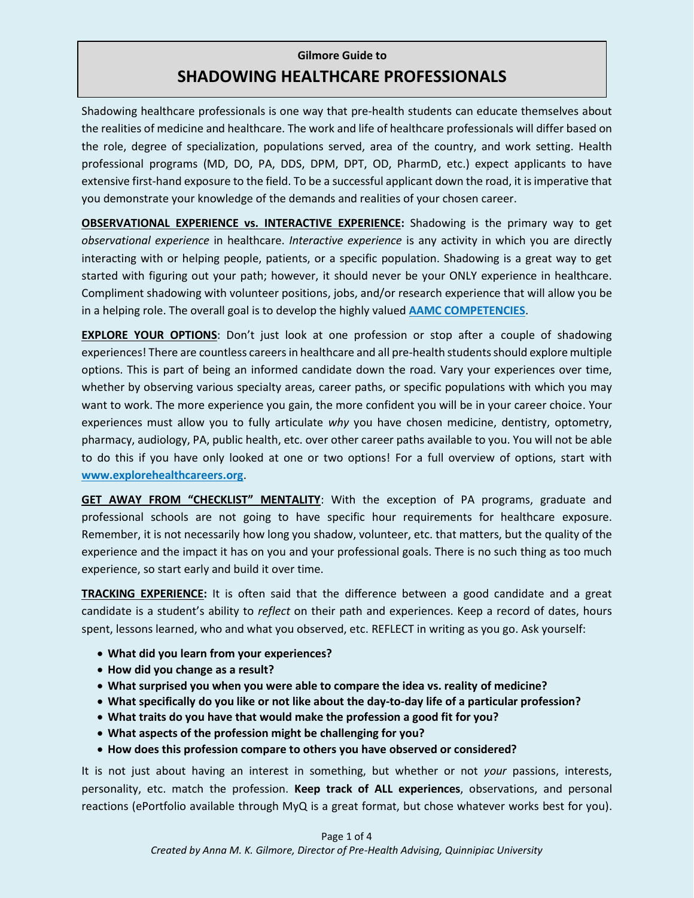## **Gilmore Guide to SHADOWING HEALTHCARE PROFESSIONALS**

Shadowing healthcare professionals is one way that pre-health students can educate themselves about the realities of medicine and healthcare. The work and life of healthcare professionals will differ based on the role, degree of specialization, populations served, area of the country, and work setting. Health professional programs (MD, DO, PA, DDS, DPM, DPT, OD, PharmD, etc.) expect applicants to have extensive first-hand exposure to the field. To be a successful applicant down the road, it is imperative that you demonstrate your knowledge of the demands and realities of your chosen career.

**OBSERVATIONAL EXPERIENCE vs. INTERACTIVE EXPERIENCE:** Shadowing is the primary way to get *observational experience* in healthcare. *Interactive experience* is any activity in which you are directly interacting with or helping people, patients, or a specific population. Shadowing is a great way to get started with figuring out your path; however, it should never be your ONLY experience in healthcare. Compliment shadowing with volunteer positions, jobs, and/or research experience that will allow you be in a helping role. The overall goal is to develop the highly valued **[AAMC COMPETENCIES](https://students-residents.aamc.org/applying-medical-school/article/core-competencies/)**.

**EXPLORE YOUR OPTIONS:** Don't just look at one profession or stop after a couple of shadowing experiences! There are countless careersin healthcare and all pre-health students should explore multiple options. This is part of being an informed candidate down the road. Vary your experiences over time, whether by observing various specialty areas, career paths, or specific populations with which you may want to work. The more experience you gain, the more confident you will be in your career choice. Your experiences must allow you to fully articulate *why* you have chosen medicine, dentistry, optometry, pharmacy, audiology, PA, public health, etc. over other career paths available to you. You will not be able to do this if you have only looked at one or two options! For a full overview of options, start with **[www.explorehealthcareers.org](http://www.explorehealthcareers.org/)**.

**GET AWAY FROM "CHECKLIST" MENTALITY**: With the exception of PA programs, graduate and professional schools are not going to have specific hour requirements for healthcare exposure. Remember, it is not necessarily how long you shadow, volunteer, etc. that matters, but the quality of the experience and the impact it has on you and your professional goals. There is no such thing as too much experience, so start early and build it over time.

**TRACKING EXPERIENCE:** It is often said that the difference between a good candidate and a great candidate is a student's ability to *reflect* on their path and experiences. Keep a record of dates, hours spent, lessons learned, who and what you observed, etc. REFLECT in writing as you go. Ask yourself:

- **What did you learn from your experiences?**
- **How did you change as a result?**
- **What surprised you when you were able to compare the idea vs. reality of medicine?**
- **What specifically do you like or not like about the day-to-day life of a particular profession?**
- **What traits do you have that would make the profession a good fit for you?**
- **What aspects of the profession might be challenging for you?**
- **How does this profession compare to others you have observed or considered?**

It is not just about having an interest in something, but whether or not *your* passions, interests, personality, etc. match the profession. **Keep track of ALL experiences**, observations, and personal reactions (ePortfolio available through MyQ is a great format, but chose whatever works best for you).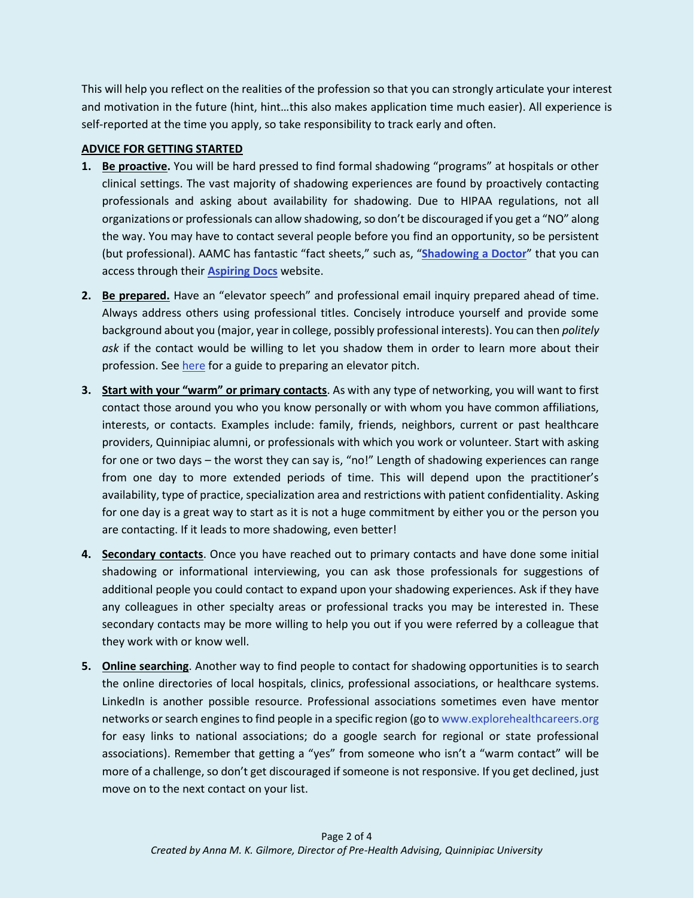This will help you reflect on the realities of the profession so that you can strongly articulate your interest and motivation in the future (hint, hint…this also makes application time much easier). All experience is self-reported at the time you apply, so take responsibility to track early and often.

## **ADVICE FOR GETTING STARTED**

- **1. Be proactive.** You will be hard pressed to find formal shadowing "programs" at hospitals or other clinical settings. The vast majority of shadowing experiences are found by proactively contacting professionals and asking about availability for shadowing. Due to HIPAA regulations, not all organizations or professionals can allow shadowing, so don't be discouraged if you get a "NO" along the way. You may have to contact several people before you find an opportunity, so be persistent (but professional). AAMC has fantastic "fact sheets," such as, "**[Shadowing a Doctor](https://students-residents.aamc.org/applying-medical-school/article/shadowing-doctor/)**" that you can access through their **[Aspiring Docs](https://students-residents.aamc.org/choosing-medical-career/medical-careers/aspiring-docs/aspiring-docs-fact-sheets/aspiring-docs-experience/)** website.
- **2. Be prepared.** Have an "elevator speech" and professional email inquiry prepared ahead of time. Always address others using professional titles. Concisely introduce yourself and provide some background about you (major, year in college, possibly professional interests). You can then *politely ask* if the contact would be willing to let you shadow them in order to learn more about their profession. Se[e here](https://www.google.com/url?sa=t&rct=j&q=&esrc=s&source=web&cd=3&ved=0ahUKEwiyn77r7PPaAhUGnlkKHYNADkYQFgg-MAI&url=http%3A%2F%2Fmskeebleswebspace.weebly.com%2Fuploads%2F1%2F3%2F2%2F8%2F13287409%2Felevatorspeechworksheet.pdf&usg=AOvVaw22AGY3Lrcy5kkK09TQT7vP) for a guide to preparing an elevator pitch.
- **3. Start with your "warm" or primary contacts**. As with any type of networking, you will want to first contact those around you who you know personally or with whom you have common affiliations, interests, or contacts. Examples include: family, friends, neighbors, current or past healthcare providers, Quinnipiac alumni, or professionals with which you work or volunteer. Start with asking for one or two days – the worst they can say is, "no!" Length of shadowing experiences can range from one day to more extended periods of time. This will depend upon the practitioner's availability, type of practice, specialization area and restrictions with patient confidentiality. Asking for one day is a great way to start as it is not a huge commitment by either you or the person you are contacting. If it leads to more shadowing, even better!
- **4. Secondary contacts**. Once you have reached out to primary contacts and have done some initial shadowing or informational interviewing, you can ask those professionals for suggestions of additional people you could contact to expand upon your shadowing experiences. Ask if they have any colleagues in other specialty areas or professional tracks you may be interested in. These secondary contacts may be more willing to help you out if you were referred by a colleague that they work with or know well.
- **5. Online searching**. Another way to find people to contact for shadowing opportunities is to search the online directories of local hospitals, clinics, professional associations, or healthcare systems. LinkedIn is another possible resource. Professional associations sometimes even have mentor networks or search engines to find people in a specific region (go t[o www.explorehealthcareers.org](http://www.explorehealthcareers.org/) for easy links to national associations; do a google search for regional or state professional associations). Remember that getting a "yes" from someone who isn't a "warm contact" will be more of a challenge, so don't get discouraged if someone is not responsive. If you get declined, just move on to the next contact on your list.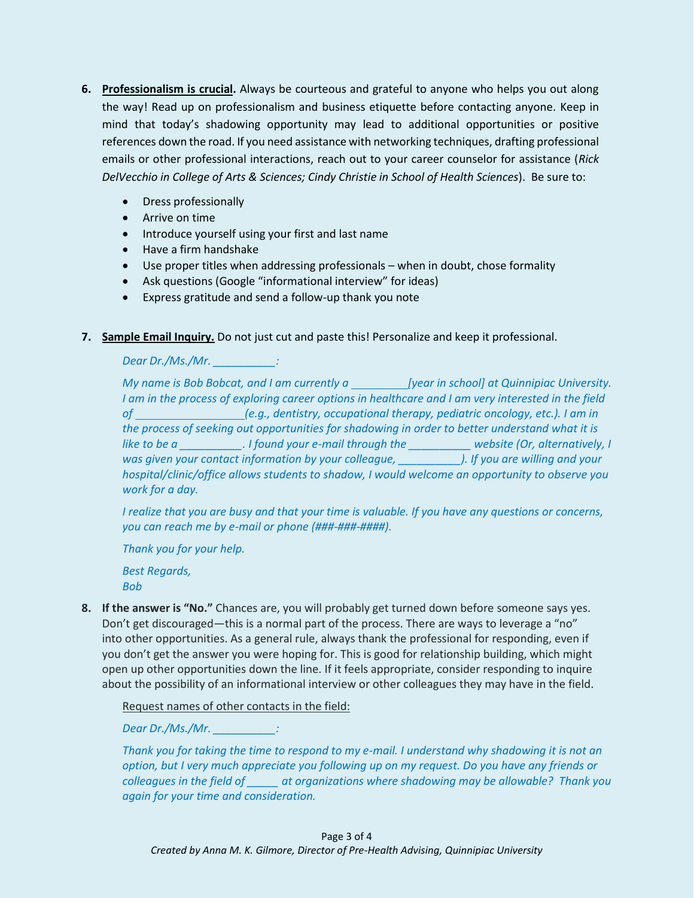- **6. Professionalism is crucial.** Always be courteous and grateful to anyone who helps you out along the way! Read up on professionalism and business etiquette before contacting anyone. Keep in mind that today's shadowing opportunity may lead to additional opportunities or positive references down the road. If you need assistance with networking techniques, drafting professional emails or other professional interactions, reach out to your career counselor for assistance (*Rick DelVecchio in College of Arts & Sciences; Cindy Christie in School of Health Sciences*). Be sure to:
	- Dress professionally
	- Arrive on time
	- Introduce yourself using your first and last name
	- Have a firm handshake
	- Use proper titles when addressing professionals when in doubt, chose formality
	- Ask questions (Google "informational interview" for ideas)
	- Express gratitude and send a follow-up thank you note
- **7. Sample Email Inquiry.** Do not just cut and paste this! Personalize and keep it professional.

*Dear Dr./Ms./Mr. \_\_\_\_\_\_\_\_\_\_:*

*My name is Bob Bobcat, and I am currently a* [year in school] at Quinnipiac University. *I am in the process of exploring career options in healthcare and I am very interested in the field of (e.g., dentistry, occupational therapy, pediatric oncology, etc.). I am in the process of seeking out opportunities for shadowing in order to better understand what it is like to be a lifound your e-mail through the website (Or, alternatively, I was given your contact information by your colleague, \_\_\_\_\_\_\_\_\_\_). If you are willing and your hospital/clinic/office allows students to shadow, I would welcome an opportunity to observe you work for a day.*

*I realize that you are busy and that your time is valuable. If you have any questions or concerns, you can reach me by e-mail or phone (###-###-####).*

*Thank you for your help. Best Regards, Bob*

**8. If the answer is "No."** Chances are, you will probably get turned down before someone says yes. Don't get discouraged—this is a normal part of the process. There are ways to leverage a "no" into other opportunities. As a general rule, always thank the professional for responding, even if you don't get the answer you were hoping for. This is good for relationship building, which might open up other opportunities down the line. If it feels appropriate, consider responding to inquire about the possibility of an informational interview or other colleagues they may have in the field.

Request names of other contacts in the field:

*Dear Dr./Ms./Mr. \_\_\_\_\_\_\_\_\_\_:*

*Thank you for taking the time to respond to my e-mail. I understand why shadowing it is not an option, but I very much appreciate you following up on my request. Do you have any friends or colleagues in the field of \_\_\_\_\_ at organizations where shadowing may be allowable? Thank you again for your time and consideration.*